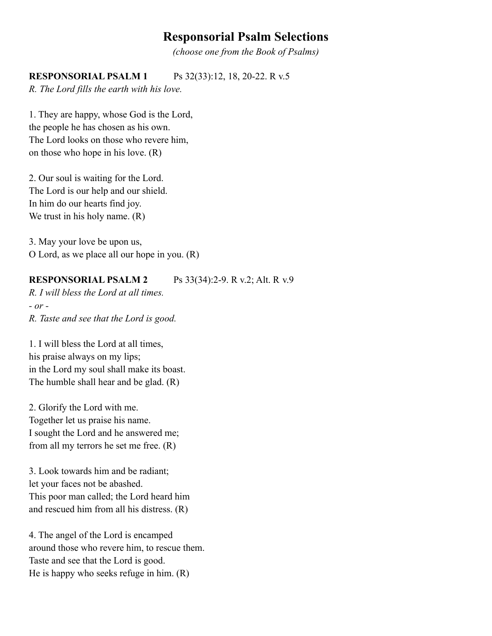# **Responsorial Psalm Selections**

*(choose one from the Book of Psalms)*

### **RESPONSORIAL PSALM 1** Ps 32(33):12, 18, 20-22. R v.5

*R. The Lord fills the earth with his love.*

1. They are happy, whose God is the Lord, the people he has chosen as his own. The Lord looks on those who revere him, on those who hope in his love. (R)

2. Our soul is waiting for the Lord. The Lord is our help and our shield. In him do our hearts find joy. We trust in his holy name.  $(R)$ 

3. May your love be upon us, O Lord, as we place all our hope in you. (R)

### **RESPONSORIAL PSALM 2** Ps 33(34):2-9. R v.2; Alt. R v.9

*R. I will bless the Lord at all times. - or - R. Taste and see that the Lord is good.*

1. I will bless the Lord at all times, his praise always on my lips; in the Lord my soul shall make its boast. The humble shall hear and be glad. (R)

2. Glorify the Lord with me. Together let us praise his name. I sought the Lord and he answered me; from all my terrors he set me free. (R)

3. Look towards him and be radiant; let your faces not be abashed. This poor man called; the Lord heard him and rescued him from all his distress. (R)

4. The angel of the Lord is encamped around those who revere him, to rescue them. Taste and see that the Lord is good. He is happy who seeks refuge in him. (R)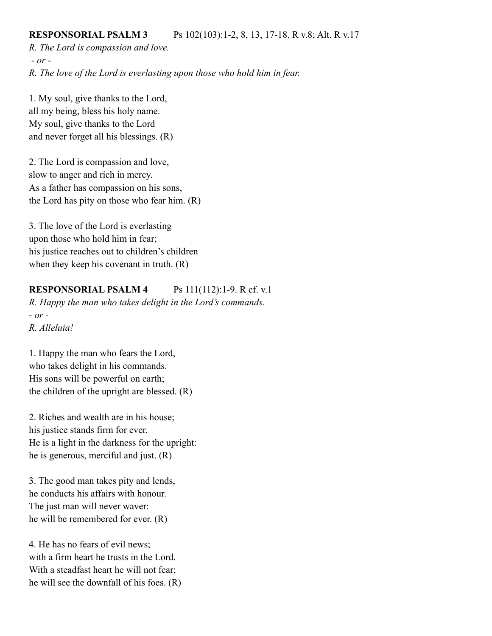#### **RESPONSORIAL PSALM 3** Ps 102(103):1-2, 8, 13, 17-18. R v.8; Alt. R v.17

*R. The Lord is compassion and love.*

*- or -*

*R. The love of the Lord is everlasting upon those who hold him in fear.*

1. My soul, give thanks to the Lord, all my being, bless his holy name. My soul, give thanks to the Lord and never forget all his blessings. (R)

2. The Lord is compassion and love, slow to anger and rich in mercy. As a father has compassion on his sons, the Lord has pity on those who fear him. (R)

3. The love of the Lord is everlasting upon those who hold him in fear; his justice reaches out to children's children when they keep his covenant in truth.  $(R)$ 

### **RESPONSORIAL PSALM 4** Ps 111(112):1-9. R cf. v.1

*R. Happy the man who takes delight in the Lord's commands. - or -*

*R. Alleluia!*

1. Happy the man who fears the Lord, who takes delight in his commands. His sons will be powerful on earth; the children of the upright are blessed. (R)

2. Riches and wealth are in his house; his justice stands firm for ever. He is a light in the darkness for the upright: he is generous, merciful and just. (R)

3. The good man takes pity and lends, he conducts his affairs with honour. The just man will never waver: he will be remembered for ever. (R)

4. He has no fears of evil news; with a firm heart he trusts in the Lord. With a steadfast heart he will not fear; he will see the downfall of his foes. (R)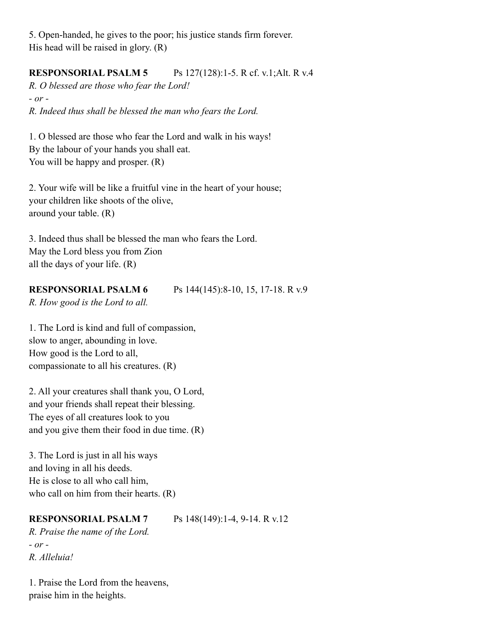5. Open-handed, he gives to the poor; his justice stands firm forever. His head will be raised in glory. (R)

## **RESPONSORIAL PSALM 5** Ps 127(128):1-5. R cf. v.1;Alt. R v.4

*R. O blessed are those who fear the Lord! - or -*

*R. Indeed thus shall be blessed the man who fears the Lord.*

1. O blessed are those who fear the Lord and walk in his ways! By the labour of your hands you shall eat. You will be happy and prosper. (R)

2. Your wife will be like a fruitful vine in the heart of your house; your children like shoots of the olive, around your table. (R)

3. Indeed thus shall be blessed the man who fears the Lord. May the Lord bless you from Zion all the days of your life. (R)

### **RESPONSORIAL PSALM 6** Ps 144(145):8-10, 15, 17-18. R v.9

*R. How good is the Lord to all.*

1. The Lord is kind and full of compassion, slow to anger, abounding in love. How good is the Lord to all, compassionate to all his creatures. (R)

2. All your creatures shall thank you, O Lord, and your friends shall repeat their blessing. The eyes of all creatures look to you and you give them their food in due time. (R)

3. The Lord is just in all his ways and loving in all his deeds. He is close to all who call him, who call on him from their hearts. (R)

#### **RESPONSORIAL PSALM 7** Ps 148(149):1-4, 9-14. R v.12

*R. Praise the name of the Lord. - or - R. Alleluia!*

1. Praise the Lord from the heavens, praise him in the heights.